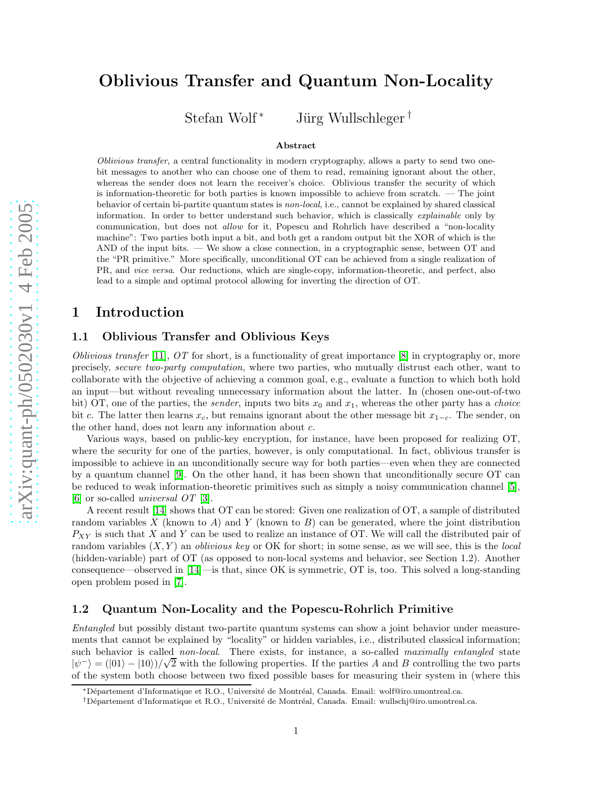# Oblivious Transfer and Quantum Non-Locality

Stefan Wolf <sup>∗</sup> J¨urg Wullschleger †

#### Abstract

Oblivious transfer, a central functionality in modern cryptography, allows a party to send two onebit messages to another who can choose one of them to read, remaining ignorant about the other, whereas the sender does not learn the receiver's choice. Oblivious transfer the security of which is information-theoretic for both parties is known impossible to achieve from scratch. — The joint behavior of certain bi-partite quantum states is non-local, i.e., cannot be explained by shared classical information. In order to better understand such behavior, which is classically explainable only by communication, but does not allow for it, Popescu and Rohrlich have described a "non-locality machine": Two parties both input a bit, and both get a random output bit the XOR of which is the AND of the input bits. — We show a close connection, in a cryptographic sense, between OT and the "PR primitive." More specifically, unconditional OT can be achieved from a single realization of PR, and vice versa. Our reductions, which are single-copy, information-theoretic, and perfect, also lead to a simple and optimal protocol allowing for inverting the direction of OT.

# 1 Introduction

### 1.1 Oblivious Transfer and Oblivious Keys

Oblivious transfer [\[11\]](#page-5-0),  $OT$  for short, is a functionality of great importance [\[8\]](#page-5-1) in cryptography or, more precisely, secure two-party computation, where two parties, who mutually distrust each other, want to collaborate with the objective of achieving a common goal, e.g., evaluate a function to which both hold an input—but without revealing unnecessary information about the latter. In (chosen one-out-of-two bit) OT, one of the parties, the *sender*, inputs two bits  $x_0$  and  $x_1$ , whereas the other party has a *choice* bit c. The latter then learns  $x_c$ , but remains ignorant about the other message bit  $x_{1-c}$ . The sender, on the other hand, does not learn any information about c .

Various ways, based on public-key encryption, for instance, have been proposed for realizing OT, where the security for one of the parties, however, is only computational. In fact, oblivious transfer is impossible to achieve in an unconditionally secure way for both parties—even when they are connected by a quantum channel [\[9\]](#page-5-2). On the other hand, it has been shown that unconditionally secure OT can be reduced to weak information-theoretic primitives such as simply a noisy communication channel [\[5\]](#page-5-3), [\[6\]](#page-5-4) or so-called universal OT [\[3\]](#page-4-0).

A recent result [\[14\]](#page-5-5) shows that OT can be stored: Given one realization of OT, a sample of distributed random variables X (known to A) and Y (known to B) can be generated, where the joint distribution  $P_{XY}$  is such that X and Y can be used to realize an instance of OT. We will call the distributed pair of random variables  $(X, Y)$  an *oblivious key* or OK for short; in some sense, as we will see, this is the *local* (hidden-variable) part of OT (as opposed to non-local systems and behavior, see Section 1.2). Another consequence—observed in [\[14\]](#page-5-5)—is that, since OK is symmetric, OT is, too. This solved a long-standing open problem posed in [\[7\]](#page-5-6).

### 1.2 Quantum Non-Locality and the Popescu-Rohrlich Primitive

Entangled but possibly distant two-partite quantum systems can show a joint behavior under measurements that cannot be explained by "locality" or hidden variables, i.e., distributed classical information; such behavior is called non-local. There exists, for instance, a so-called maximally entangled state  $|\psi^{-}\rangle = (|01\rangle - |10\rangle)/\sqrt{2}$  with the following properties. If the parties A and B controlling the two parts of the system both choose between two fixed possible bases for measuring their system in (where this

<sup>∗</sup>D´epartement d'Informatique et R.O., Universit´e de Montr´eal, Canada. Email: wolf@iro.umontreal.ca.

<sup>&</sup>lt;sup>†</sup>Département d'Informatique et R.O., Université de Montréal, Canada. Email: wullschj@iro.umontreal.ca.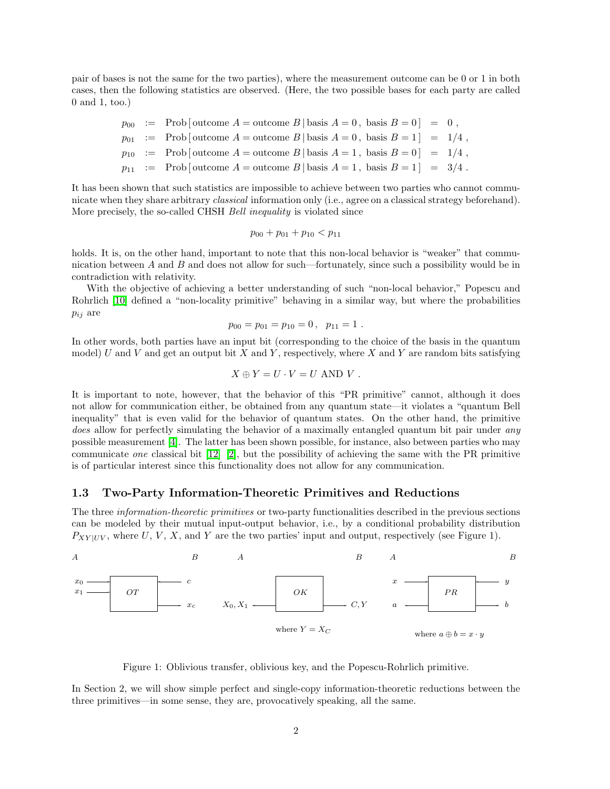pair of bases is not the same for the two parties), where the measurement outcome can be 0 or 1 in both cases, then the following statistics are observed. (Here, the two possible bases for each party are called 0 and 1, too.)

$$
p_{00} := \text{Prob} \left[ \text{outcome } A = \text{outcome } B \mid \text{basis } A = 0, \text{ basis } B = 0 \right] = 0,
$$
  
\n
$$
p_{01} := \text{Prob} \left[ \text{outcome } A = \text{outcome } B \mid \text{basis } A = 0, \text{ basis } B = 1 \right] = 1/4,
$$
  
\n
$$
p_{10} := \text{Prob} \left[ \text{outcome } A = \text{outcome } B \mid \text{basis } A = 1, \text{ basis } B = 0 \right] = 1/4,
$$
  
\n
$$
p_{11} := \text{Prob} \left[ \text{outcome } A = \text{outcome } B \mid \text{basis } A = 1, \text{ basis } B = 1 \right] = 3/4.
$$

It has been shown that such statistics are impossible to achieve between two parties who cannot communicate when they share arbitrary *classical* information only (i.e., agree on a classical strategy beforehand). More precisely, the so-called CHSH Bell inequality is violated since

$$
p_{00} + p_{01} + p_{10} < p_{11}
$$

holds. It is, on the other hand, important to note that this non-local behavior is "weaker" that communication between A and B and does not allow for such—fortunately, since such a possibility would be in contradiction with relativity.

With the objective of achieving a better understanding of such "non-local behavior," Popescu and Rohrlich [\[10\]](#page-5-7) defined a "non-locality primitive" behaving in a similar way, but where the probabilities  $p_{ij}$  are

$$
p_{00} = p_{01} = p_{10} = 0, \ \ p_{11} = 1.
$$

In other words, both parties have an input bit (corresponding to the choice of the basis in the quantum model) U and V and get an output bit X and Y, respectively, where X and Y are random bits satisfying

$$
X \oplus Y = U \cdot V = U \text{ AND } V.
$$

It is important to note, however, that the behavior of this "PR primitive" cannot, although it does not allow for communication either, be obtained from any quantum state—it violates a "quantum Bell inequality" that is even valid for the behavior of quantum states. On the other hand, the primitive does allow for perfectly simulating the behavior of a maximally entangled quantum bit pair under any possible measurement [\[4\]](#page-5-8). The latter has been shown possible, for instance, also between parties who may communicate one classical bit [\[12\]](#page-5-9) [\[2\]](#page-4-1), but the possibility of achieving the same with the PR primitive is of particular interest since this functionality does not allow for any communication.

### 1.3 Two-Party Information-Theoretic Primitives and Reductions

The three information-theoretic primitives or two-party functionalities described in the previous sections can be modeled by their mutual input-output behavior, i.e., by a conditional probability distribution  $P_{XY|UV}$ , where U, V, X, and Y are the two parties' input and output, respectively (see Figure 1).



Figure 1: Oblivious transfer, oblivious key, and the Popescu-Rohrlich primitive.

In Section 2, we will show simple perfect and single-copy information-theoretic reductions between the three primitives—in some sense, they are, provocatively speaking, all the same.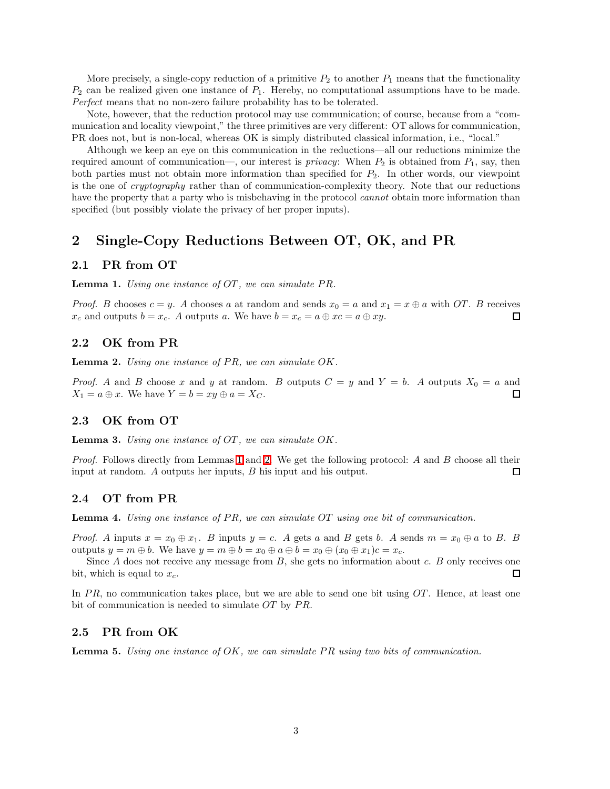More precisely, a single-copy reduction of a primitive  $P_2$  to another  $P_1$  means that the functionality  $P_2$  can be realized given one instance of  $P_1$ . Hereby, no computational assumptions have to be made. Perfect means that no non-zero failure probability has to be tolerated.

Note, however, that the reduction protocol may use communication; of course, because from a "communication and locality viewpoint," the three primitives are very different: OT allows for communication, PR does not, but is non-local, whereas OK is simply distributed classical information, i.e., "local."

Although we keep an eye on this communication in the reductions—all our reductions minimize the required amount of communication—, our interest is *privacy*: When  $P_2$  is obtained from  $P_1$ , say, then both parties must not obtain more information than specified for  $P_2$ . In other words, our viewpoint is the one of cryptography rather than of communication-complexity theory. Note that our reductions have the property that a party who is misbehaving in the protocol *cannot* obtain more information than specified (but possibly violate the privacy of her proper inputs).

# 2 Single-Copy Reductions Between OT, OK, and PR

### <span id="page-2-0"></span>2.1 PR from OT

**Lemma 1.** Using one instance of  $OT$ , we can simulate  $PR$ .

*Proof.* B chooses  $c = y$ . A chooses a at random and sends  $x_0 = a$  and  $x_1 = x \oplus a$  with OT. B receives  $x_c$  and outputs  $b = x_c$ . A outputs a. We have  $b = x_c = a \oplus xc = a \oplus xy$ .  $x_c$  and outputs  $b = x_c$ . A outputs a. We have  $b = x_c = a \oplus x_c = a \oplus xy$ .

### <span id="page-2-1"></span>2.2 OK from PR

**Lemma 2.** Using one instance of  $PR$ , we can simulate  $OK$ .

*Proof.* A and B choose x and y at random. B outputs  $C = y$  and  $Y = b$ . A outputs  $X_0 = a$  and  $X_1 = a \oplus x$ . We have  $Y = b = xy \oplus a = X_C$ . 口

### 2.3 OK from OT

**Lemma 3.** Using one instance of  $OT$ , we can simulate  $OK$ .

Proof. Follows directly from Lemmas [1](#page-2-0) and [2.](#page-2-1) We get the following protocol: A and B choose all their input at random. A outputs her inputs, B his input and his output.  $\Box$ 

### 2.4 OT from PR

**Lemma 4.** Using one instance of PR, we can simulate  $OT$  using one bit of communication.

*Proof.* A inputs  $x = x_0 \oplus x_1$ . B inputs  $y = c$ . A gets a and B gets b. A sends  $m = x_0 \oplus a$  to B. B outputs  $y = m \oplus b$ . We have  $y = m \oplus b = x_0 \oplus a \oplus b = x_0 \oplus (x_0 \oplus x_1)c = x_c$ .

Since  $A$  does not receive any message from  $B$ , she gets no information about  $c$ .  $B$  only receives one bit, which is equal to  $x_c$ .  $\Box$ 

In  $PR$ , no communication takes place, but we are able to send one bit using  $OT$ . Hence, at least one bit of communication is needed to simulate  $OT$  by  $PR$ .

### 2.5 PR from OK

**Lemma 5.** Using one instance of  $OK$ , we can simulate PR using two bits of communication.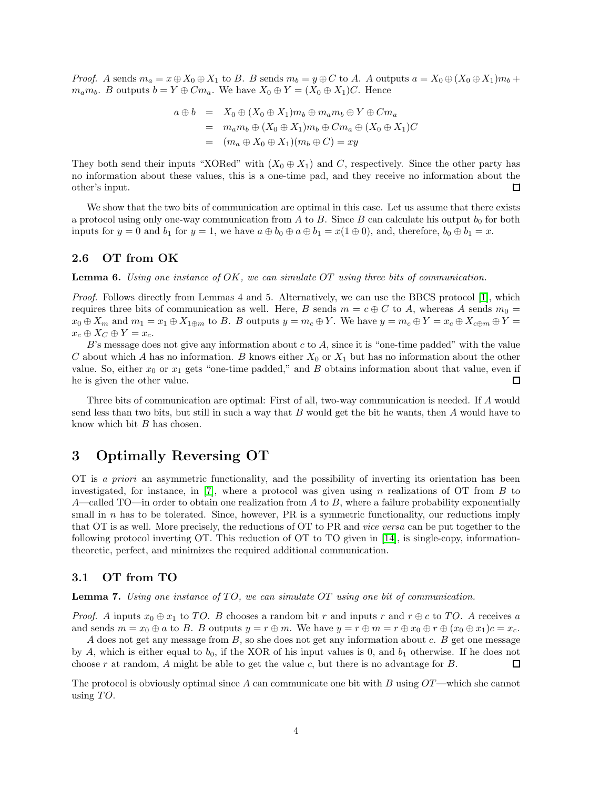*Proof.* A sends  $m_a = x \oplus X_0 \oplus X_1$  to B. B sends  $m_b = y \oplus C$  to A. A outputs  $a = X_0 \oplus (X_0 \oplus X_1)m_b + C_0 m_b$  $m_a m_b$ . B outputs  $b = Y \oplus C m_a$ . We have  $X_0 \oplus Y = (X_0 \oplus X_1)C$ . Hence

$$
a \oplus b = X_0 \oplus (X_0 \oplus X_1)m_b \oplus m_a m_b \oplus Y \oplus Cm_a
$$
  
=  $m_a m_b \oplus (X_0 \oplus X_1)m_b \oplus Cm_a \oplus (X_0 \oplus X_1)C$   
=  $(m_a \oplus X_0 \oplus X_1)(m_b \oplus C) = xy$ 

They both send their inputs "XORed" with  $(X_0 \oplus X_1)$  and C, respectively. Since the other party has no information about these values, this is a one-time pad, and they receive no information about the other's input.  $\Box$ 

We show that the two bits of communication are optimal in this case. Let us assume that there exists a protocol using only one-way communication from A to B. Since B can calculate his output  $b_0$  for both inputs for  $y = 0$  and  $b_1$  for  $y = 1$ , we have  $a \oplus b_0 \oplus a \oplus b_1 = x(1 \oplus 0)$ , and, therefore,  $b_0 \oplus b_1 = x$ .

### 2.6 OT from OK

**Lemma 6.** Using one instance of  $OK$ , we can simulate OT using three bits of communication.

Proof. Follows directly from Lemmas 4 and 5. Alternatively, we can use the BBCS protocol [\[1\]](#page-4-2), which requires three bits of communication as well. Here, B sends  $m = c \oplus C$  to A, whereas A sends  $m_0 =$  $x_0 \oplus X_m$  and  $m_1 = x_1 \oplus X_{1 \oplus m}$  to B. B outputs  $y = m_c \oplus Y$ . We have  $y = m_c \oplus Y = x_c \oplus X_{c \oplus m} \oplus Y = x_c \oplus X_{c \oplus m} \oplus Y$  $x_c \oplus X_C \oplus Y = x_c.$ 

 $B$ 's message does not give any information about c to  $A$ , since it is "one-time padded" with the value C about which A has no information. B knows either  $X_0$  or  $X_1$  but has no information about the other value. So, either  $x_0$  or  $x_1$  gets "one-time padded," and B obtains information about that value, even if he is given the other value. 口

Three bits of communication are optimal: First of all, two-way communication is needed. If A would send less than two bits, but still in such a way that B would get the bit he wants, then A would have to know which bit B has chosen.

# 3 Optimally Reversing OT

OT is a priori an asymmetric functionality, and the possibility of inverting its orientation has been investigated, for instance, in [\[7\]](#page-5-6), where a protocol was given using n realizations of  $\overline{OT}$  from  $\overline{B}$  to A—called TO—in order to obtain one realization from  $A$  to  $B$ , where a failure probability exponentially small in  $n$  has to be tolerated. Since, however, PR is a symmetric functionality, our reductions imply that OT is as well. More precisely, the reductions of OT to PR and vice versa can be put together to the following protocol inverting OT. This reduction of OT to TO given in [\[14\]](#page-5-5), is single-copy, informationtheoretic, perfect, and minimizes the required additional communication.

### 3.1 OT from TO

**Lemma 7.** Using one instance of  $TO$ , we can simulate  $OT$  using one bit of communication.

*Proof.* A inputs  $x_0 \oplus x_1$  to TO. B chooses a random bit r and inputs r and  $r \oplus c$  to TO. A receives a and sends  $m = x_0 \oplus a$  to B. B outputs  $y = r \oplus m$ . We have  $y = r \oplus m = r \oplus x_0 \oplus r \oplus (x_0 \oplus x_1)c = x_c$ .

 $A$  does not get any message from  $B$ , so she does not get any information about  $c$ .  $B$  get one message by A, which is either equal to  $b_0$ , if the XOR of his input values is 0, and  $b_1$  otherwise. If he does not choose r at random, A might be able to get the value c, but there is no advantage for  $B$ . П

The protocol is obviously optimal since A can communicate one bit with B using  $OT$ —which she cannot using  $TO$ .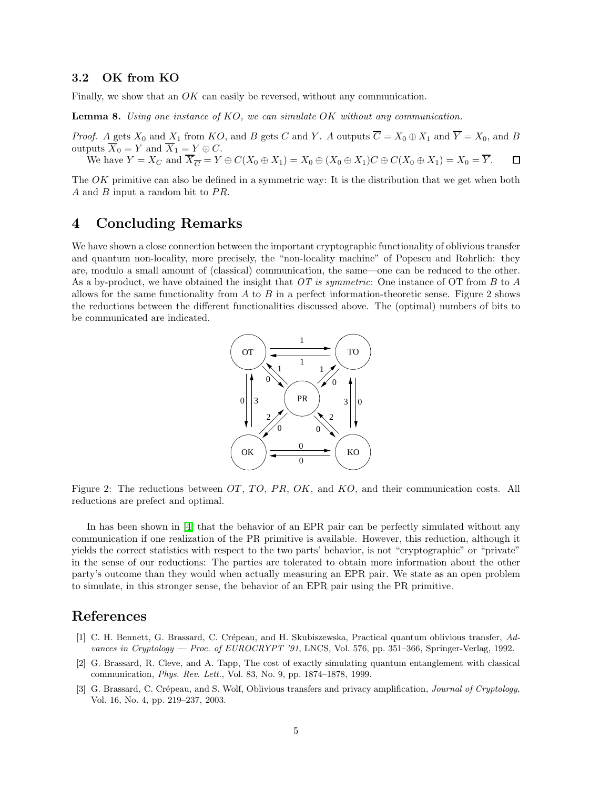### 3.2 OK from KO

Finally, we show that an OK can easily be reversed, without any communication.

Lemma 8. Using one instance of KO, we can simulate OK without any communication.

*Proof.* A gets  $X_0$  and  $X_1$  from  $KO$ , and B gets C and Y. A outputs  $\overline{C} = X_0 \oplus X_1$  and  $\overline{Y} = X_0$ , and B outputs  $\overline{X}_0 = Y$  and  $\overline{X}_1 = Y \oplus C$ .

We have  $Y = X_C$  and  $\overline{X}_{\overline{C}} = Y \oplus C(X_0 \oplus X_1) = X_0 \oplus (X_0 \oplus X_1)C \oplus C(X_0 \oplus X_1) = X_0 = \overline{Y}$ .  $\Box$ 

The OK primitive can also be defined in a symmetric way: It is the distribution that we get when both A and B input a random bit to  $PR$ .

# 4 Concluding Remarks

We have shown a close connection between the important cryptographic functionality of oblivious transfer and quantum non-locality, more precisely, the "non-locality machine" of Popescu and Rohrlich: they are, modulo a small amount of (classical) communication, the same—one can be reduced to the other. As a by-product, we have obtained the insight that  $OT$  is symmetric: One instance of OT from B to A allows for the same functionality from  $A$  to  $B$  in a perfect information-theoretic sense. Figure 2 shows the reductions between the different functionalities discussed above. The (optimal) numbers of bits to be communicated are indicated.



Figure 2: The reductions between  $OT$ ,  $TO$ ,  $PR$ ,  $OK$ , and  $KO$ , and their communication costs. All reductions are prefect and optimal.

In has been shown in [\[4\]](#page-5-8) that the behavior of an EPR pair can be perfectly simulated without any communication if one realization of the PR primitive is available. However, this reduction, although it yields the correct statistics with respect to the two parts' behavior, is not "cryptographic" or "private" in the sense of our reductions: The parties are tolerated to obtain more information about the other party's outcome than they would when actually measuring an EPR pair. We state as an open problem to simulate, in this stronger sense, the behavior of an EPR pair using the PR primitive.

## <span id="page-4-2"></span>References

- [1] C. H. Bennett, G. Brassard, C. Crépeau, and H. Skubiszewska, Practical quantum oblivious transfer, Advances in Cryptology — Proc. of EUROCRYPT '91, LNCS, Vol. 576, pp. 351–366, Springer-Verlag, 1992.
- <span id="page-4-1"></span>[2] G. Brassard, R. Cleve, and A. Tapp, The cost of exactly simulating quantum entanglement with classical communication, Phys. Rev. Lett., Vol. 83, No. 9, pp. 1874–1878, 1999.
- <span id="page-4-0"></span>[3] G. Brassard, C. Crépeau, and S. Wolf, Oblivious transfers and privacy amplification, *Journal of Cryptology*, Vol. 16, No. 4, pp. 219–237, 2003.